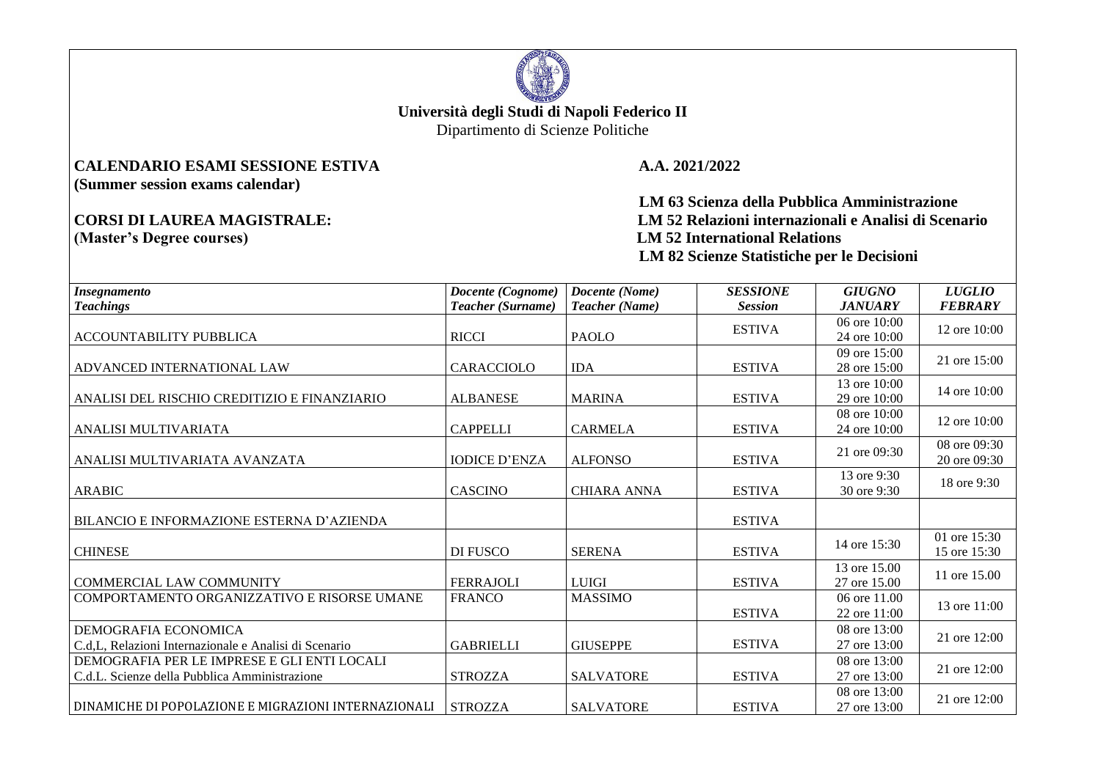

## **Università degli Studi di Napoli Federico II**

Dipartimento di Scienze Politiche

## **CALENDARIO ESAMI SESSIONE ESTIVA A.A. 2021/2022 (Summer session exams calendar)**

 **LM 63 Scienza della Pubblica Amministrazione CORSI DI LAUREA MAGISTRALE: LM 52 Relazioni internazionali e Analisi di Scenario LM 52 International Relations LM 82 Scienze Statistiche per le Decisioni** 

| <b>Insegnamento</b>                                   | Docente (Cognome)    | Docente (Nome)     | <b>SESSIONE</b> | <b>GIUGNO</b>                  | <b>LUGLIO</b>                |
|-------------------------------------------------------|----------------------|--------------------|-----------------|--------------------------------|------------------------------|
| <b>Teachings</b>                                      | Teacher (Surname)    | Teacher (Name)     | <b>Session</b>  | <b>JANUARY</b>                 | <b>FEBRARY</b>               |
| <b>ACCOUNTABILITY PUBBLICA</b>                        | <b>RICCI</b>         | <b>PAOLO</b>       | <b>ESTIVA</b>   | 06 ore $10:00$<br>24 ore 10:00 | 12 ore 10:00                 |
| ADVANCED INTERNATIONAL LAW                            | CARACCIOLO           | <b>IDA</b>         | <b>ESTIVA</b>   | 09 ore 15:00<br>28 ore 15:00   | 21 ore 15:00                 |
| ANALISI DEL RISCHIO CREDITIZIO E FINANZIARIO          | <b>ALBANESE</b>      | <b>MARINA</b>      | <b>ESTIVA</b>   | 13 ore 10:00<br>29 ore 10:00   | 14 ore 10:00                 |
| ANALISI MULTIVARIATA                                  | <b>CAPPELLI</b>      | <b>CARMELA</b>     | <b>ESTIVA</b>   | 08 ore $10:00$<br>24 ore 10:00 | 12 ore 10:00                 |
| ANALISI MULTIVARIATA AVANZATA                         | <b>IODICE D'ENZA</b> | <b>ALFONSO</b>     | <b>ESTIVA</b>   | 21 ore 09:30                   | 08 ore 09:30<br>20 ore 09:30 |
| <b>ARABIC</b>                                         | <b>CASCINO</b>       | <b>CHIARA ANNA</b> | <b>ESTIVA</b>   | 13 ore 9:30<br>30 ore 9:30     | 18 ore 9:30                  |
| <b>BILANCIO E INFORMAZIONE ESTERNA D'AZIENDA</b>      |                      |                    | <b>ESTIVA</b>   |                                |                              |
| <b>CHINESE</b>                                        | DI FUSCO             | <b>SERENA</b>      | <b>ESTIVA</b>   | 14 ore 15:30                   | 01 ore 15:30<br>15 ore 15:30 |
| <b>COMMERCIAL LAW COMMUNITY</b>                       | <b>FERRAJOLI</b>     | <b>LUIGI</b>       | <b>ESTIVA</b>   | 13 ore 15.00<br>27 ore 15.00   | 11 ore 15.00                 |
| COMPORTAMENTO ORGANIZZATIVO E RISORSE UMANE           | <b>FRANCO</b>        | <b>MASSIMO</b>     | <b>ESTIVA</b>   | 06 ore 11.00<br>22 ore 11:00   | 13 ore 11:00                 |
| DEMOGRAFIA ECONOMICA                                  |                      |                    | <b>ESTIVA</b>   | 08 ore 13:00                   | 21 ore 12:00                 |
| C.d.L. Relazioni Internazionale e Analisi di Scenario | <b>GABRIELLI</b>     | <b>GIUSEPPE</b>    |                 | 27 ore 13:00                   |                              |
| DEMOGRAFIA PER LE IMPRESE E GLI ENTI LOCALI           |                      |                    |                 | 08 ore 13:00                   | 21 ore 12:00                 |
| C.d.L. Scienze della Pubblica Amministrazione         | <b>STROZZA</b>       | <b>SALVATORE</b>   | <b>ESTIVA</b>   | 27 ore 13:00                   |                              |
| DINAMICHE DI POPOLAZIONE E MIGRAZIONI INTERNAZIONALI  | <b>STROZZA</b>       | <b>SALVATORE</b>   | <b>ESTIVA</b>   | 08 ore 13:00<br>27 ore 13:00   | 21 ore 12:00                 |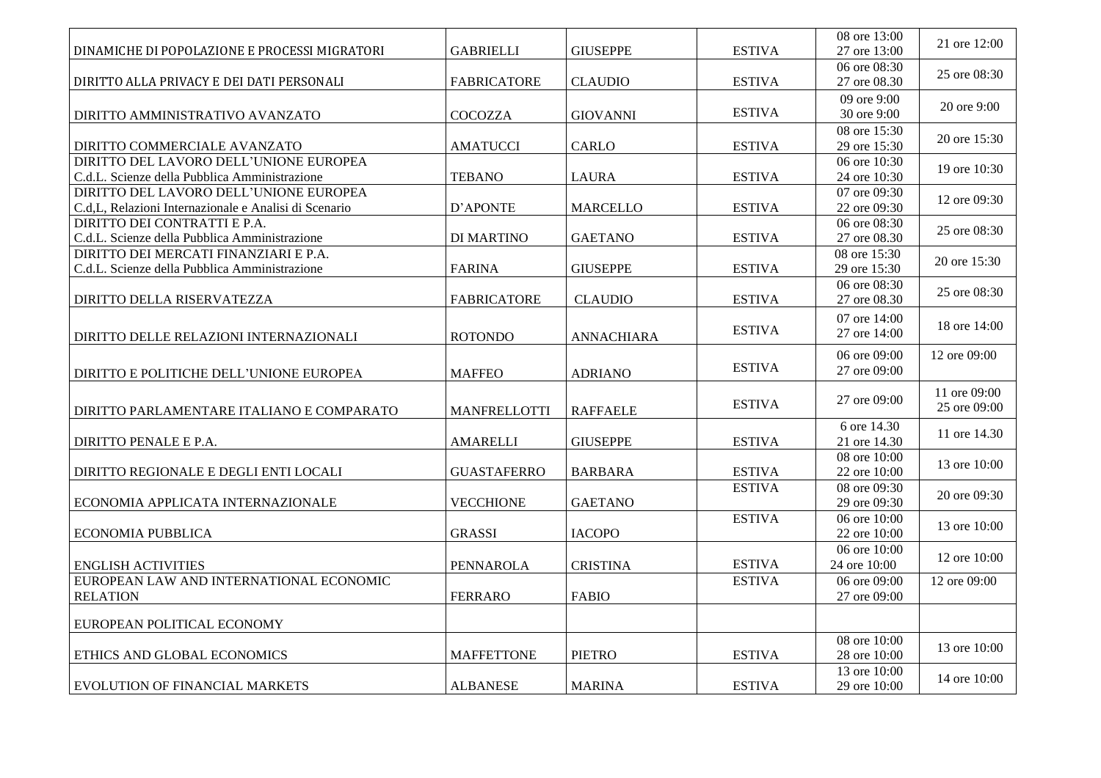| DINAMICHE DI POPOLAZIONE E PROCESSI MIGRATORI                                          | <b>GABRIELLI</b>    | <b>GIUSEPPE</b>   | <b>ESTIVA</b> | 08 ore 13:00<br>27 ore 13:00 | 21 ore 12:00 |
|----------------------------------------------------------------------------------------|---------------------|-------------------|---------------|------------------------------|--------------|
|                                                                                        |                     |                   |               | 06 ore 08:30                 |              |
| DIRITTO ALLA PRIVACY E DEI DATI PERSONALI                                              | <b>FABRICATORE</b>  | <b>CLAUDIO</b>    | <b>ESTIVA</b> | 27 ore 08.30                 | 25 ore 08:30 |
|                                                                                        |                     |                   |               | 09 ore 9:00                  | 20 ore 9:00  |
| DIRITTO AMMINISTRATIVO AVANZATO                                                        | <b>COCOZZA</b>      | <b>GIOVANNI</b>   | <b>ESTIVA</b> | 30 ore 9:00                  |              |
|                                                                                        |                     |                   |               | 08 ore 15:30                 | 20 ore 15:30 |
| DIRITTO COMMERCIALE AVANZATO                                                           | AMATUCCI            | <b>CARLO</b>      | <b>ESTIVA</b> | 29 ore 15:30                 |              |
| DIRITTO DEL LAVORO DELL'UNIONE EUROPEA                                                 |                     |                   |               | 06 ore 10:30                 | 19 ore 10:30 |
| C.d.L. Scienze della Pubblica Amministrazione                                          | <b>TEBANO</b>       | <b>LAURA</b>      | <b>ESTIVA</b> | 24 ore 10:30                 |              |
| DIRITTO DEL LAVORO DELL'UNIONE EUROPEA                                                 |                     |                   |               | 07 ore 09:30                 | 12 ore 09:30 |
| C.d, L, Relazioni Internazionale e Analisi di Scenario                                 | D'APONTE            | <b>MARCELLO</b>   | <b>ESTIVA</b> | 22 ore 09:30                 |              |
| DIRITTO DEI CONTRATTI E P.A.                                                           |                     |                   |               | 06 ore 08:30                 | 25 ore 08:30 |
| C.d.L. Scienze della Pubblica Amministrazione                                          | <b>DI MARTINO</b>   | <b>GAETANO</b>    | <b>ESTIVA</b> | 27 ore 08.30                 |              |
| DIRITTO DEI MERCATI FINANZIARI E P.A.<br>C.d.L. Scienze della Pubblica Amministrazione | <b>FARINA</b>       | <b>GIUSEPPE</b>   | <b>ESTIVA</b> | 08 ore 15:30<br>29 ore 15:30 | 20 ore 15:30 |
|                                                                                        |                     |                   |               |                              |              |
| DIRITTO DELLA RISERVATEZZA                                                             | <b>FABRICATORE</b>  | <b>CLAUDIO</b>    | <b>ESTIVA</b> | 06 ore 08:30<br>27 ore 08.30 | 25 ore 08:30 |
|                                                                                        |                     |                   |               | 07 ore 14:00                 |              |
| DIRITTO DELLE RELAZIONI INTERNAZIONALI                                                 | <b>ROTONDO</b>      | <b>ANNACHIARA</b> | <b>ESTIVA</b> | 27 ore 14:00                 | 18 ore 14:00 |
|                                                                                        |                     |                   |               | 06 ore 09:00                 | 12 ore 09:00 |
| DIRITTO E POLITICHE DELL'UNIONE EUROPEA                                                | <b>MAFFEO</b>       | <b>ADRIANO</b>    | <b>ESTIVA</b> | 27 ore 09:00                 |              |
|                                                                                        |                     |                   |               |                              | 11 ore 09:00 |
|                                                                                        |                     |                   | <b>ESTIVA</b> | 27 ore 09:00                 | 25 ore 09:00 |
| DIRITTO PARLAMENTARE ITALIANO E COMPARATO                                              | <b>MANFRELLOTTI</b> | <b>RAFFAELE</b>   |               |                              |              |
|                                                                                        | <b>AMARELLI</b>     | <b>GIUSEPPE</b>   | <b>ESTIVA</b> | 6 ore 14.30                  | 11 ore 14.30 |
| DIRITTO PENALE E P.A.                                                                  |                     |                   |               | 21 ore 14.30<br>08 ore 10:00 |              |
| DIRITTO REGIONALE E DEGLI ENTI LOCALI                                                  | <b>GUASTAFERRO</b>  | <b>BARBARA</b>    | <b>ESTIVA</b> | 22 ore 10:00                 | 13 ore 10:00 |
|                                                                                        |                     |                   | <b>ESTIVA</b> | 08 ore 09:30                 |              |
| ECONOMIA APPLICATA INTERNAZIONALE                                                      | <b>VECCHIONE</b>    | <b>GAETANO</b>    |               | 29 ore 09:30                 | 20 ore 09:30 |
|                                                                                        |                     |                   | <b>ESTIVA</b> | 06 ore 10:00                 |              |
| <b>ECONOMIA PUBBLICA</b>                                                               | <b>GRASSI</b>       | <b>IACOPO</b>     |               | 22 ore 10:00                 | 13 ore 10:00 |
|                                                                                        |                     |                   |               | 06 ore $10:00$               |              |
| <b>ENGLISH ACTIVITIES</b>                                                              | PENNAROLA           | <b>CRISTINA</b>   | <b>ESTIVA</b> | 24 ore 10:00                 | 12 ore 10:00 |
| EUROPEAN LAW AND INTERNATIONAL ECONOMIC                                                |                     |                   | <b>ESTIVA</b> | 06 ore 09:00                 | 12 ore 09:00 |
| <b>RELATION</b>                                                                        | <b>FERRARO</b>      | <b>FABIO</b>      |               | 27 ore 09:00                 |              |
|                                                                                        |                     |                   |               |                              |              |
| EUROPEAN POLITICAL ECONOMY                                                             |                     |                   |               |                              |              |
|                                                                                        |                     |                   |               | 08 ore 10:00                 | 13 ore 10:00 |
| ETHICS AND GLOBAL ECONOMICS                                                            | <b>MAFFETTONE</b>   | <b>PIETRO</b>     | <b>ESTIVA</b> | 28 ore 10:00                 |              |
|                                                                                        |                     |                   |               | 13 ore 10:00                 | 14 ore 10:00 |
| <b>EVOLUTION OF FINANCIAL MARKETS</b>                                                  | <b>ALBANESE</b>     | <b>MARINA</b>     | <b>ESTIVA</b> | 29 ore 10:00                 |              |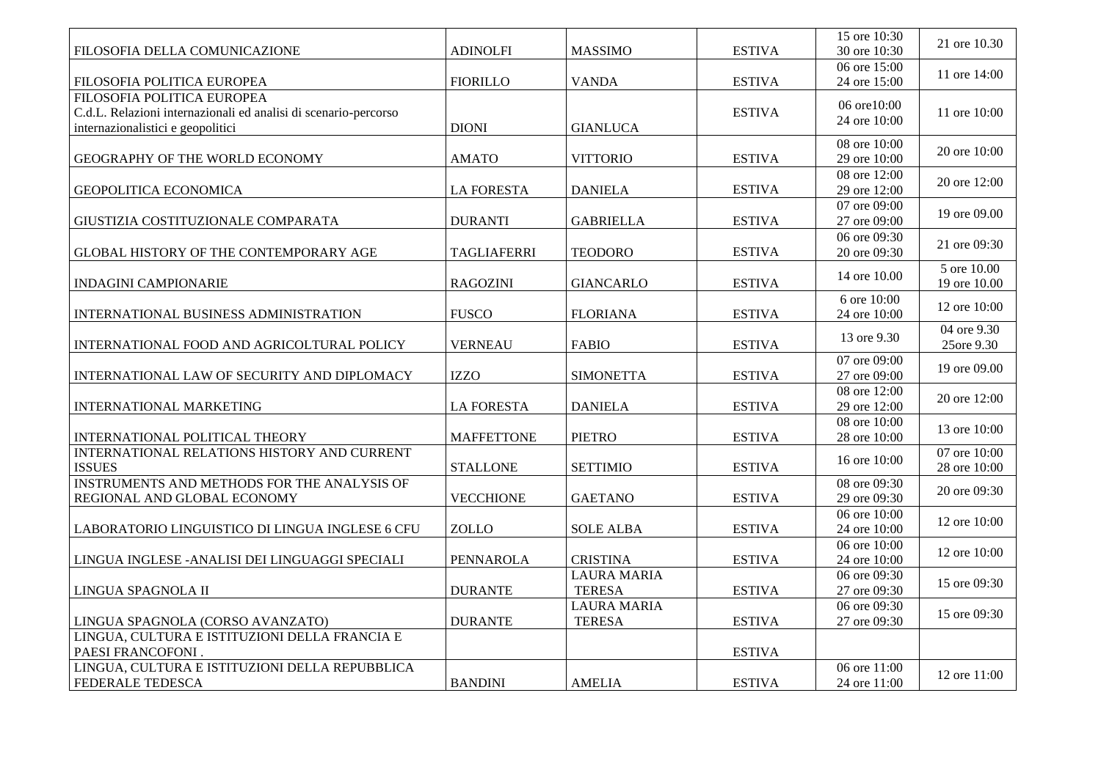|                                                                 |                    |                                     |               | $15$ ore $10:30$             | 21 ore 10.30                 |
|-----------------------------------------------------------------|--------------------|-------------------------------------|---------------|------------------------------|------------------------------|
| FILOSOFIA DELLA COMUNICAZIONE                                   | <b>ADINOLFI</b>    | <b>MASSIMO</b>                      | <b>ESTIVA</b> | 30 ore 10:30                 |                              |
| FILOSOFIA POLITICA EUROPEA                                      | <b>FIORILLO</b>    | <b>VANDA</b>                        | <b>ESTIVA</b> | 06 ore 15:00<br>24 ore 15:00 | 11 ore 14:00                 |
| FILOSOFIA POLITICA EUROPEA                                      |                    |                                     |               | 06 ore10:00                  |                              |
| C.d.L. Relazioni internazionali ed analisi di scenario-percorso |                    |                                     | <b>ESTIVA</b> | 24 ore 10:00                 | 11 ore 10:00                 |
| internazionalistici e geopolitici                               | <b>DIONI</b>       | <b>GIANLUCA</b>                     |               |                              |                              |
| GEOGRAPHY OF THE WORLD ECONOMY                                  | <b>AMATO</b>       | <b>VITTORIO</b>                     | <b>ESTIVA</b> | 08 ore 10:00<br>29 ore 10:00 | 20 ore 10:00                 |
| GEOPOLITICA ECONOMICA                                           | <b>LA FORESTA</b>  | <b>DANIELA</b>                      | <b>ESTIVA</b> | 08 ore 12:00<br>29 ore 12:00 | 20 ore 12:00                 |
| GIUSTIZIA COSTITUZIONALE COMPARATA                              | <b>DURANTI</b>     | <b>GABRIELLA</b>                    | <b>ESTIVA</b> | 07 ore 09:00<br>27 ore 09:00 | 19 ore 09.00                 |
|                                                                 |                    |                                     | <b>ESTIVA</b> | 06 ore 09:30<br>20 ore 09:30 | 21 ore 09:30                 |
| GLOBAL HISTORY OF THE CONTEMPORARY AGE                          | <b>TAGLIAFERRI</b> | <b>TEODORO</b>                      |               |                              | 5 ore 10.00                  |
| <b>INDAGINI CAMPIONARIE</b>                                     | <b>RAGOZINI</b>    | <b>GIANCARLO</b>                    | <b>ESTIVA</b> | 14 ore 10.00                 | 19 ore 10.00                 |
| INTERNATIONAL BUSINESS ADMINISTRATION                           | <b>FUSCO</b>       | <b>FLORIANA</b>                     | <b>ESTIVA</b> | 6 ore 10:00<br>24 ore 10:00  | 12 ore 10:00                 |
|                                                                 |                    |                                     |               |                              | 04 ore 9.30                  |
| INTERNATIONAL FOOD AND AGRICOLTURAL POLICY                      | <b>VERNEAU</b>     | <b>FABIO</b>                        | <b>ESTIVA</b> | 13 ore 9.30                  | 25ore 9.30                   |
| INTERNATIONAL LAW OF SECURITY AND DIPLOMACY                     | <b>IZZO</b>        | <b>SIMONETTA</b>                    | <b>ESTIVA</b> | 07 ore 09:00<br>27 ore 09:00 | 19 ore 09.00                 |
| INTERNATIONAL MARKETING                                         | <b>LA FORESTA</b>  | <b>DANIELA</b>                      | <b>ESTIVA</b> | 08 ore 12:00<br>29 ore 12:00 | 20 ore 12:00                 |
|                                                                 |                    |                                     |               | 08 ore 10:00                 | 13 ore 10:00                 |
| INTERNATIONAL POLITICAL THEORY                                  | <b>MAFFETTONE</b>  | <b>PIETRO</b>                       | <b>ESTIVA</b> | 28 ore 10:00                 |                              |
| INTERNATIONAL RELATIONS HISTORY AND CURRENT<br><b>ISSUES</b>    | <b>STALLONE</b>    | <b>SETTIMIO</b>                     | <b>ESTIVA</b> | 16 ore 10:00                 | 07 ore 10:00<br>28 ore 10:00 |
| INSTRUMENTS AND METHODS FOR THE ANALYSIS OF                     |                    |                                     |               | 08 ore 09:30                 | 20 ore 09:30                 |
| REGIONAL AND GLOBAL ECONOMY                                     | <b>VECCHIONE</b>   | <b>GAETANO</b>                      | <b>ESTIVA</b> | 29 ore 09:30                 |                              |
| LABORATORIO LINGUISTICO DI LINGUA INGLESE 6 CFU                 | <b>ZOLLO</b>       | <b>SOLE ALBA</b>                    | <b>ESTIVA</b> | 06 ore 10:00<br>24 ore 10:00 | 12 ore 10:00                 |
| LINGUA INGLESE - ANALISI DEI LINGUAGGI SPECIALI                 | PENNAROLA          | <b>CRISTINA</b>                     | <b>ESTIVA</b> | 06 ore 10:00<br>24 ore 10:00 | 12 ore 10:00                 |
|                                                                 |                    | <b>LAURA MARIA</b>                  |               | 06 ore 09:30                 |                              |
| LINGUA SPAGNOLA II                                              | <b>DURANTE</b>     | <b>TERESA</b>                       | <b>ESTIVA</b> | 27 ore 09:30                 | 15 ore 09:30                 |
| LINGUA SPAGNOLA (CORSO AVANZATO)                                | <b>DURANTE</b>     | <b>LAURA MARIA</b><br><b>TERESA</b> | <b>ESTIVA</b> | 06 ore 09:30<br>27 ore 09:30 | 15 ore 09:30                 |
| LINGUA, CULTURA E ISTITUZIONI DELLA FRANCIA E                   |                    |                                     |               |                              |                              |
| PAESI FRANCOFONI.                                               |                    |                                     | <b>ESTIVA</b> |                              |                              |
| LINGUA, CULTURA E ISTITUZIONI DELLA REPUBBLICA                  |                    |                                     |               | 06 ore 11:00                 | 12 ore 11:00                 |
| FEDERALE TEDESCA                                                | <b>BANDINI</b>     | <b>AMELIA</b>                       | <b>ESTIVA</b> | 24 ore 11:00                 |                              |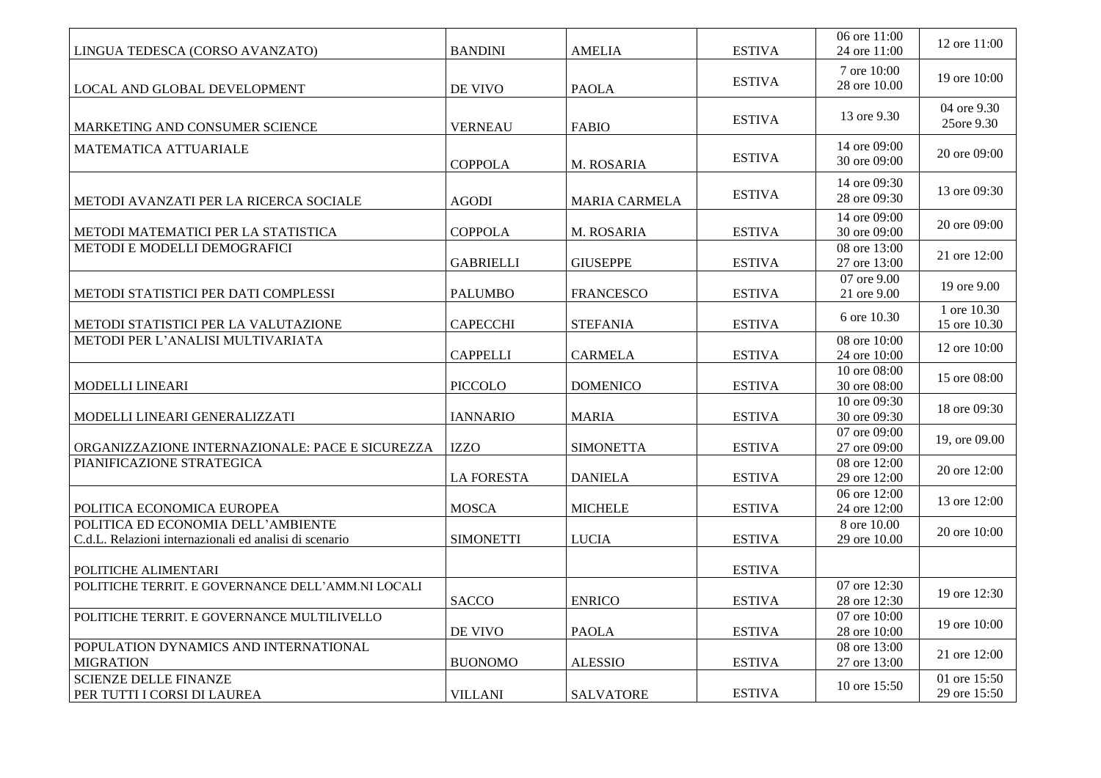| LINGUA TEDESCA (CORSO AVANZATO)                                                              | <b>BANDINI</b>    | <b>AMELIA</b>        | <b>ESTIVA</b> | 06 ore 11:00<br>24 ore 11:00            | 12 ore 11:00                 |
|----------------------------------------------------------------------------------------------|-------------------|----------------------|---------------|-----------------------------------------|------------------------------|
| LOCAL AND GLOBAL DEVELOPMENT                                                                 | DE VIVO           | <b>PAOLA</b>         | <b>ESTIVA</b> | 7 ore 10:00<br>28 ore 10.00             | 19 ore 10:00                 |
| MARKETING AND CONSUMER SCIENCE                                                               | <b>VERNEAU</b>    | <b>FABIO</b>         | <b>ESTIVA</b> | 13 ore 9.30                             | 04 ore 9.30<br>25ore 9.30    |
| MATEMATICA ATTUARIALE                                                                        | <b>COPPOLA</b>    | M. ROSARIA           | <b>ESTIVA</b> | 14 ore 09:00<br>30 ore 09:00            | 20 ore 09:00                 |
| METODI AVANZATI PER LA RICERCA SOCIALE                                                       | <b>AGODI</b>      | <b>MARIA CARMELA</b> | <b>ESTIVA</b> | 14 ore 09:30<br>28 ore 09:30            | 13 ore 09:30                 |
| METODI MATEMATICI PER LA STATISTICA                                                          | <b>COPPOLA</b>    | M. ROSARIA           | <b>ESTIVA</b> | 14 ore 09:00<br>30 ore 09:00            | 20 ore 09:00                 |
| METODI E MODELLI DEMOGRAFICI                                                                 | <b>GABRIELLI</b>  | <b>GIUSEPPE</b>      | <b>ESTIVA</b> | 08 ore 13:00<br>27 ore 13:00            | 21 ore 12:00                 |
| METODI STATISTICI PER DATI COMPLESSI                                                         | <b>PALUMBO</b>    | <b>FRANCESCO</b>     | <b>ESTIVA</b> | $\overline{07}$ ore 9.00<br>21 ore 9.00 | 19 ore 9.00                  |
| METODI STATISTICI PER LA VALUTAZIONE                                                         | <b>CAPECCHI</b>   | <b>STEFANIA</b>      | <b>ESTIVA</b> | 6 ore 10.30                             | 1 ore 10.30<br>15 ore 10.30  |
| METODI PER L'ANALISI MULTIVARIATA                                                            | <b>CAPPELLI</b>   | <b>CARMELA</b>       | <b>ESTIVA</b> | 08 ore 10:00<br>24 ore 10:00            | 12 ore 10:00                 |
| MODELLI LINEARI                                                                              | PICCOLO           | <b>DOMENICO</b>      | <b>ESTIVA</b> | 10 ore 08:00<br>30 ore 08:00            | 15 ore 08:00                 |
| MODELLI LINEARI GENERALIZZATI                                                                | <b>IANNARIO</b>   | <b>MARIA</b>         | <b>ESTIVA</b> | 10 ore 09:30<br>30 ore 09:30            | 18 ore 09:30                 |
| ORGANIZZAZIONE INTERNAZIONALE: PACE E SICUREZZA                                              | <b>IZZO</b>       | <b>SIMONETTA</b>     | <b>ESTIVA</b> | 07 ore 09:00<br>27 ore 09:00            | 19, ore 09.00                |
| PIANIFICAZIONE STRATEGICA                                                                    | <b>LA FORESTA</b> | <b>DANIELA</b>       | <b>ESTIVA</b> | 08 ore $12:00$<br>29 ore 12:00          | 20 ore 12:00                 |
| POLITICA ECONOMICA EUROPEA                                                                   | <b>MOSCA</b>      | <b>MICHELE</b>       | <b>ESTIVA</b> | 06 ore 12:00<br>24 ore 12:00            | 13 ore 12:00                 |
| POLITICA ED ECONOMIA DELL'AMBIENTE<br>C.d.L. Relazioni internazionali ed analisi di scenario | <b>SIMONETTI</b>  | <b>LUCIA</b>         | <b>ESTIVA</b> | 8 ore 10.00<br>29 ore 10.00             | 20 ore 10:00                 |
| POLITICHE ALIMENTARI                                                                         |                   |                      | <b>ESTIVA</b> |                                         |                              |
| POLITICHE TERRIT. E GOVERNANCE DELL'AMM.NI LOCALI                                            | <b>SACCO</b>      | <b>ENRICO</b>        | <b>ESTIVA</b> | 07 ore 12:30<br>28 ore 12:30            | 19 ore 12:30                 |
| POLITICHE TERRIT. E GOVERNANCE MULTILIVELLO                                                  | DE VIVO           | <b>PAOLA</b>         | <b>ESTIVA</b> | 07 ore $10:00$<br>28 ore 10:00          | 19 ore 10:00                 |
| POPULATION DYNAMICS AND INTERNATIONAL<br><b>MIGRATION</b>                                    | <b>BUONOMO</b>    | <b>ALESSIO</b>       | <b>ESTIVA</b> | 08 ore 13:00<br>27 ore 13:00            | 21 ore 12:00                 |
| <b>SCIENZE DELLE FINANZE</b><br>PER TUTTI I CORSI DI LAUREA                                  | <b>VILLANI</b>    | <b>SALVATORE</b>     | <b>ESTIVA</b> | 10 ore 15:50                            | 01 ore 15:50<br>29 ore 15:50 |